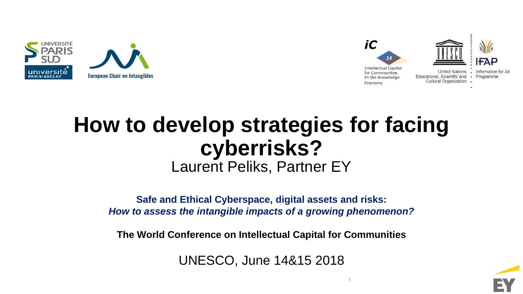



# **How to develop strategies for facing cyberrisks?** Laurent Peliks, Partner EY

**Safe and Ethical Cyberspace, digital assets and risks:**  *How to assess the intangible impacts of a growing phenomenon?*

**The World Conference on Intellectual Capital for Communities**

UNESCO, June 14&15 2018

 $14\pm 15$ th June 2018 The World Conference on Intellectual Capital for Communities on Intellectual for Communities

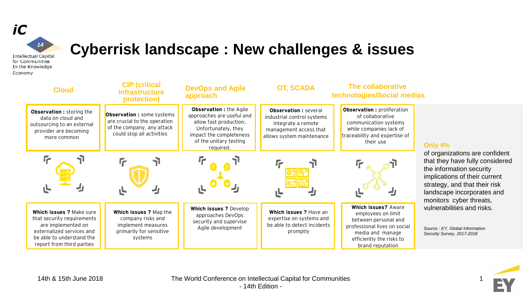

#### **Cyberrisk landscape : New challenges & issues**

**Intellectual Capital** for Communities In the Knowledge Economy

| <b>Cloud</b>                                                                                                                                                        | <b>CIP</b> (critical<br><b>infrastructure</b><br>protection)                                                                 | <b>DevOps and Agile</b><br>approach                                                                                                                                     | <b>OT, SCADA</b>                                                                                                                       | <b>The collaborative</b><br>technologies/Social medias                                                                                                                       |                                                                                                                                                                                                                          |
|---------------------------------------------------------------------------------------------------------------------------------------------------------------------|------------------------------------------------------------------------------------------------------------------------------|-------------------------------------------------------------------------------------------------------------------------------------------------------------------------|----------------------------------------------------------------------------------------------------------------------------------------|------------------------------------------------------------------------------------------------------------------------------------------------------------------------------|--------------------------------------------------------------------------------------------------------------------------------------------------------------------------------------------------------------------------|
| Observation : storing the<br>data on cloud and<br>outsourcing to an external<br>provider are becoming<br>more common                                                | <b>Observation :</b> some systems<br>are crucial to the operation<br>of the company, any attack<br>could stop all activities | Observation : the Agile<br>approaches are useful and<br>allow fast production.<br>Unfortunately, they<br>impact the completeness<br>of the unitary testing<br>required. | <b>Observation:</b> several<br>industrial control systems<br>integrate a remote<br>management access that<br>allows system maintenance | <b>Observation: proliferation</b><br>of collaborative<br>communication systems<br>while companies lack of<br>traceability and expertise of<br>their use                      | Only 4%                                                                                                                                                                                                                  |
|                                                                                                                                                                     |                                                                                                                              |                                                                                                                                                                         |                                                                                                                                        |                                                                                                                                                                              | of organizations are confident<br>that they have fully considered<br>the information security<br>implications of their current<br>strategy, and that their risk<br>landscape incorporates and<br>monitors cyber threats, |
| Which issues ? Make sure<br>that security requirements<br>are implemented on<br>externalized services and<br>be able to understand the<br>report from third parties | Which issues ? Map the<br>company risks and<br>implement measures<br>primarily for sensitive<br>systems                      | Which issues ? Develop<br>approaches DevOps<br>security and supervise<br>Agile development                                                                              | Which issues ? Have an<br>expertise on systems and<br>be able to detect incidents<br>promptly                                          | <b>Which issues? Aware</b><br>employees on limit<br>between personal and<br>professional lives on social<br>media and manage<br>efficiently the risks to<br>brand reputation | vulnerabilities and risks.<br>Source: EY, Global Information<br>Security Survey, 2017-2018                                                                                                                               |

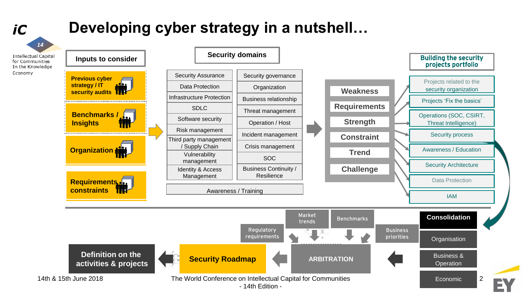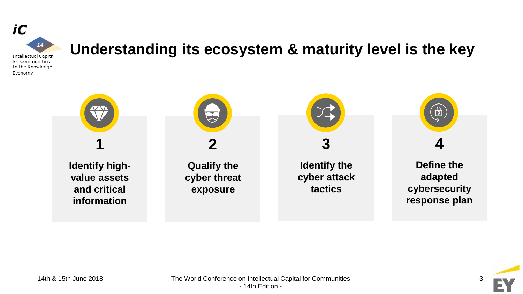

# **Understanding its ecosystem & maturity level is the key**



![](_page_3_Picture_3.jpeg)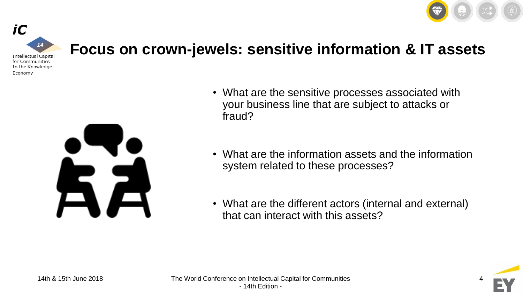![](_page_4_Picture_0.jpeg)

![](_page_4_Picture_1.jpeg)

### **Focus on crown-jewels: sensitive information & IT assets**

![](_page_4_Picture_3.jpeg)

- What are the sensitive processes associated with your business line that are subject to attacks or fraud?
- What are the information assets and the information system related to these processes?
- What are the different actors (internal and external) that can interact with this assets?

![](_page_4_Picture_7.jpeg)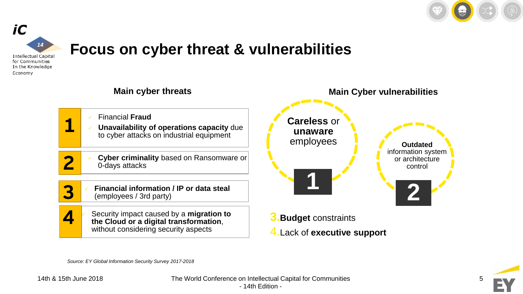![](_page_5_Picture_0.jpeg)

**2**

**Outdated** 

control

![](_page_5_Picture_1.jpeg)

## **Focus on cyber threat & vulnerabilities**

![](_page_5_Figure_3.jpeg)

![](_page_5_Picture_4.jpeg)

*Source: EY Global Information Security Survey 2017-2018*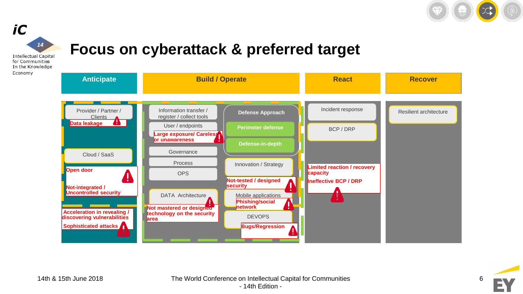![](_page_6_Picture_0.jpeg)

![](_page_6_Figure_1.jpeg)

## **Focus on cyberattack & preferred target**

**Intellectual Capital** for Communities In the Knowledge Economy

![](_page_6_Figure_4.jpeg)

![](_page_6_Picture_5.jpeg)